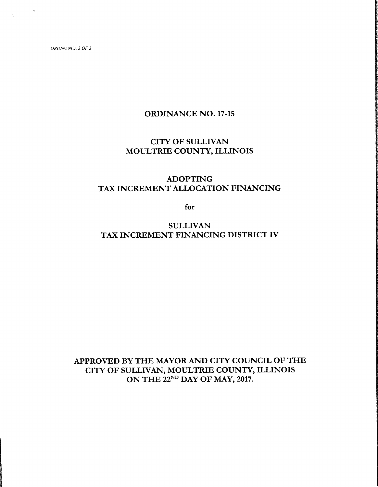$\pmb{\epsilon}$ 

# ORDINANCE NO. 17-15

# CITY OF SULLIVAN MOULTRIE COUNTY, ILLINOIS

# ADOPTING TAX INCREMENT ALLOCATION FINANCING

for

**SULLIVAN** TAX INCREMENT FINANCING DISTRICT IV

APPROVED BY THE MAYOR AND CITY COUNCIL OF THE CITY OF SULLIVAN, MOULTRIE COUNTY, ILLINOIS ON THE 22ND DAY OF MAY, 2017.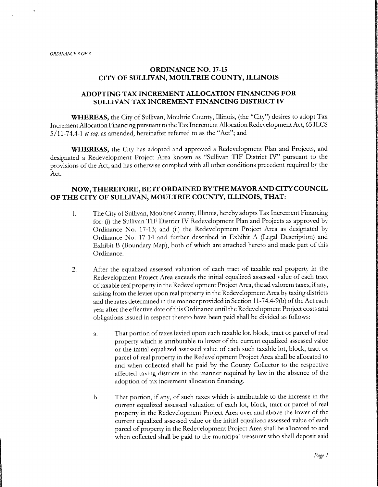f

## ORDINANCE NO. 17-15 CITY OF SULLIVAN, MOULTRIE COUNTY, ILLINOIS

## ADOPTING TAX INCREMENT ALLOCATION FINANCING FOR SULLIVAN TAX INCREMENT FINANCING DISTRICT IV

WHEREAS, the City of Sullivan, Moultrie County, Illinois, (the "City") desires to adopt Tax Increment Allocation Financing pursuant to the Tax Increment Allocation Redevelopment Act, 65 ILCS 5/11-74.4-1 et seq. as amended, hereinafter referred to as the "Act"; and

WHEREAS, the City has adopted and approved <sup>a</sup> Redevelopment Plan and Projects, and designated a Redevelopment Project Area known as "Sullivan TIF District IV" pursuant to the provisions of the Act, and has otherwise complied with all other conditions precedent required by the Act.

### NOW, THEREFORE, BE IT ORDAINED BYTHE MAYOR AND CITY COUNCIL OF THE CITY OF SULLIVAN, MOULTRIE COUNTY, ILLINOIS, THAT:

- 1. The City of Sullivan, Moultrie County, Illinois, hereby adopts Tax Increment Financing for: (i) the Sullivan TIF District IV Redevelopment Plan and Projects as approved by Ordinance No. 17-13; and (ii) the Redevelopment Project Area as designated by Ordinance No. 17-14 and further described in Exhibit A (Legal Description) and Exhibit B ( Boundary Map), both of which are attached hereto and made part of this Ordinance.
- 2. After the equalized assessed valuation of each tract of taxable real property in the Redevelopment Project Area exceeds the initial equalized assessed value of each tract oftaxable real property in the Redevelopment Project Area, the ad valorem taxes, ifany, arising from the levies upon real property in the Redevelopment Area by taxing districts and the rates determined in the manner provided in Section 11-74.4-9(b) of the Act each year after the effective date ofthis Ordinance until the Redevelopment Project costs and obligations issued in respect thereto have been paid shall be divided as follows:
	- a. That portion of taxes levied upon each taxable lot, block, tract or parcel of real property which is attributable to lower of the current equalized assessed value or the initial equalized assessed value of each such taxable lot, block, tract or parcel of real property in the Redevelopment Project Area shall be allocated to and when collected shall be paid by the County Collector to the respective affected taxing districts in the manner required by law in the absence of the adoption of tax increment allocation financing.
	- b. That portion, if any, of such taxes which is attributable to the increase in the current equalized assessed valuation of each lot, block, tract or parcel of real property in the Redevelopment Project Area over and above the lower of the current equalized assessed value or the initial equalized assessed value of each parcel of property in the Redevelopment Project Area shall be allocated to and when collected shall be paid to the municipal treasurer who shall deposit said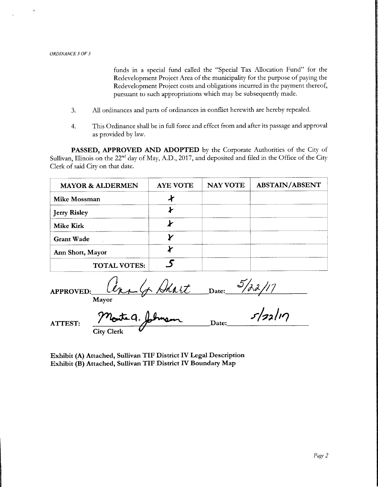funds in a special fund called the "Special Tax Allocation Fund" for the Redevelopment Project Area of the municipality for the purpose of paying the Redevelopment Project costs and obligations incurred in the payment thereof, pursuant to such appropriations which may be subsequently made.

- 3. All ordinances and parts of ordinances in conflict herewith are hereby repealed.
- 4. This Ordinance shall be in full force and effect from and after its passage and approval as provided by law.

PASSED, APPROVED AND ADOPTED by the Corporate Authorities of the City of Sullivan, Illinois on the 22<sup>nd</sup> day of May, A.D., 2017, and deposited and filed in the Office of the City Clerk of said City on that date.

| <b>MAYOR &amp; ALDERMEN</b> | <b>AYE VOTE</b> | <b>NAY VOTE</b> | <b>ABSTAIN/ABSENT</b> |
|-----------------------------|-----------------|-----------------|-----------------------|
| Mike Mossman                | И               |                 |                       |
| <b>Jerry Risley</b>         |                 |                 |                       |
| <b>Mike Kirk</b>            |                 |                 |                       |
| <b>Grant Wade</b>           |                 |                 |                       |
| Ann Short, Mayor            |                 |                 |                       |
| <b>TOTAL VOTES:</b>         |                 |                 |                       |

APPROVED: Cert G Dhart Date: Mayor

 $a.$  folmen Date: City Clerk

ATTEST.

Exhibit (A) Attached, Sullivan TIF District IV Legal Description Exhibit (B) Attached, Sullivan TIF District IV Boundary Map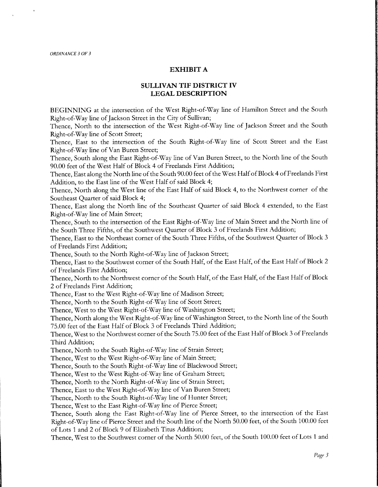### EXHIBIT A

## SULLIVAN TIF DISTRICT IV LEGAL DESCRIPTION

BEGINNING at the intersection of the West Right-of-Way line of Hamilton Street and the South Right-of-Way line of Jackson Street in the City of Sullivan;

Thence, North to the intersection of the West Right-of-Way line of Jackson Street and the South Right-of-Way line of Scott Street;

Thence, East to the intersection of the South Right-of-Way line of Scott Street and the East Right-of-Way line of Van Buren Street;

Thence, South along the East Right-of-Way line of Van Buren Street, to the North line of the South 90.00 feet of the West Half of Block 4 of Freelands First Addition;

Thence, East along the North line of the South 90.00 feet of the West Half of Block 4 of Freelands First Addition, to the East line of the West Half of said Block 4;

Thence, North along the West line of the East Half of said Block 4, to the Northwest corner of the Southeast Quarter of said Block 4;

Thence, East along the North line of the Southeast Quarter of said Block 4 extended, to the East Right-of-Way line of Main Street;

Thence, South to the intersection of the East Right-of-Way line of Main Street and the North line of the South Three Fifths, of the Southwest Quarter of Block <sup>3</sup> of Freelands First Addition;

Thence, East to the Northeast corner of the South Three Fifths, of the Southwest Quarter of Block <sup>3</sup> of Freelands First Addition;

Thence, South to the North Right-of-Way line of Jackson Street;

Thence, East to the Southwest corner of the South Half, of the East Half,of the East Half of Block <sup>2</sup> of Freelands First Addition;

Thence, North to the Northwest corner of the South Half, of the East Half, of the East Half of Block <sup>2</sup> of Freelands First Addition;

Thence, East to the West Right-of-Way line of Madison Street;

Thence, North to the South Right-of-Way line of Scott Street;

Thence, West to the West Right-of-Way line of Washington Street;

Thence, North along the West Right-of-Way line of Washington Street, to the North line of the South 75.00 feet of the East Half of Block <sup>3</sup> of Freelands Third Addition;

Thence, West to the Northwest corner of the South 75.00 feet of the East Half of Block 3 of Freelands Third Addition;

Thence, North to the South Right-of-Way line of Strain Street;

Thence, West to the West Right-of-Way line of Main Street;

Thence, South to the South Right-of-Way line of Blackwood Street;

Thence, West to the West Right-of-Way line of Graham Street;

Thence, North to the North Right-of-Way line of Strain Street;

Thence, East to the West Right-of-Way line of Van Buren Street;

Thence, North to the South Right-of-Way line of Hunter Street;

Thence, West to the East Right-of-Way line of Pierce Street;

Thence, South along the East Right-of-Way line of Pierce Street, to the intersection of the East Right-of-Way line of Pierce Street and the South line of the North 50.00 feet, of the South 100.00 feet of Lots <sup>1</sup> and 2 of Block <sup>9</sup> of Elizabeth Titus Addition;

Thence, West to the Southwest corner of the North 50.00 feet, of the South 100.00 feet of Lots <sup>1</sup> and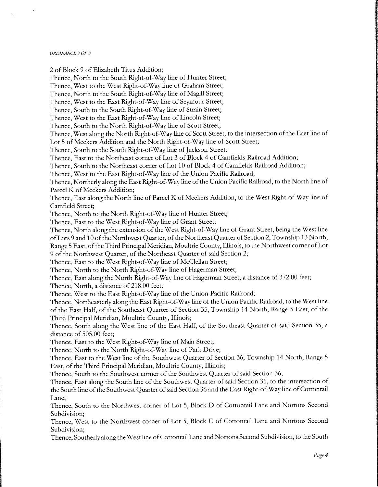<sup>2</sup> of Block <sup>9</sup> of Elizabeth Titus Addition;

Thence, North to the South Right-of-Way line of Hunter Street; Thence, West to the West Right-of-Way line of Graham Street; Thence, North to the South Right-of-Way line of Magill Street; Thence, West to the East Right-of-Way line of Seymour Street; Thence, South to the South Right-of-Way line of Strain Street; Thence, West to the East Right-of-Way line of Lincoln Street; Thence, South to the North Right-of-Way line of Scott Street; Thence, West along the North Right-of-Way line of Scott Street, to the intersection of the East line of Lot <sup>5</sup> of Meekers Addition and the North Right-of-Way line of Scott Street; Thence, South to the South Right-of-Way line of Jackson Street; Thence, East to the Northeast corner of Lot <sup>3</sup> of Block <sup>4</sup> of Camfields Railroad Addition; Thence, South to the Northeast corner of Lot 10 of Block <sup>4</sup> of Camfields Railroad Addition; Thence, West to the East Right-of-Way line of the Union Pacific Railroad; Thence, Northerly along the East Right-of-Way line of the Union Pacific Railroad, to the North line of Parcel K of Meekers Addition; Thence, East along the North line of Parcel K of Meekers Addition, to the West Right-of-Way line of Camfield Street; Thence, North to the North Right-of-Way line of Hunter Street; Thence, East to the West Right-of-Way line of Grant Street; Thence, North along the extension of the West Right-of-Way line of Grant Street, being the West line ofLots <sup>9</sup> and 10 of the Northwest Quarter, of the Northeast Quarter ofSection 2, Township <sup>13</sup> North, Range 5 East, of the Third Principal Meridian, Moultrie County, Illinois, to the Northwest corner of Lot <sup>9</sup> of the Northwest Quarter, of the Northeast Quarter of said Section 2; Thence, East to the West Right-of-Way line of McClellan Street; Thence, North to the North Right-of-Way line of Hagerman Street; Thence, East along the North Right-of-Way line of Hagerman Street, a distance of 372.00 feet; Thence, North, a distance of 218.00 feet; Thence, West to the East Right-of-Way line of the Union Pacific Railroad; Thence, Northeasterly along the East Right-of-Way line of the Union Pacific Railroad, to the West line of the East Half, of the Southeast Quarter of Section 35, Township <sup>14</sup> North, Range <sup>5</sup> East, of the Third Principal Meridian, Moultrie County, Illinois; Thence, South along the West line of the East Half, of the Southeast Quarter of said Section 35, a distance of 505.00 feet; Thence, East to the West Right-of-Way line of Main Street; Thence, North to the North Right-of-Way line of Park Drive; Thence, East to the West line of the Southwest Quarter of Section 36, Township <sup>14</sup> North, Range <sup>5</sup> East, of the Third Principal Meridian, Moultrie County, Illinois; Thence, South to the Southwest corner of the Southwest Quarter of said Section 36; Thence, East along the South line of the Southwest Quarter of said Section 36, to the intersection of the South line of the Southwest Quarter of said Section 36 and the East Right-of-Way line of Cottontail Lane; Thence, South to the Northwest corner of Lot 5, Block D of Cottontail Lane and Nortons Second Subdivision; Thence, West to the Northwest corner of Lot 5, Block E of Cottontail Lane and Nortons Second Subdivision; Thence, Southerly along the West line of Cottontail Lane and Nortons Second Subdivision, to the South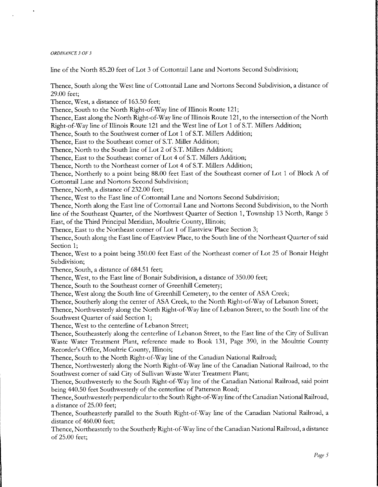line of the North 85.20 feet of Lot <sup>3</sup> of Cottontail Lane and Nortons Second Subdivision;

Thence, South along the West line of Cottontail Lane and Nortons Second Subdivision, a distance of 29.00 feet;

Thence, West, a distance of 163.50 feet;

Thence, South to the North Right-of-Way line of Illinois Route 121;

Thence, East along the North Right-of-Way line of Illinois Route 121, to the intersection of the North Right-of-Way line of Illinois Route 121 and the West line of Lot 1 of S.T. Millers Addition;

Thence, South to the Southwest corner of Lot <sup>1</sup> of S.T. Millers Addition;

Thence, East to the Southeast corner of S.T. Miller Addition;

Thence, North to the South line of Lot 2 of S.T. Millers Addition;

Thence, East to the Southeast corner of Lot 4 of S.T. Millers Addition;

Thence, North to the Northeast corner of Lot 4 of S.T. Millers Addition;

Thence, Northerly to <sup>a</sup> point being 88.00 feet East of the Southeast corner of Lot <sup>1</sup> of Block A of Cottontail Lane and Nortons Second Subdivision;

Thence, North, <sup>a</sup> distance of 232.00 feet;

Thence, West to the East line of Cottontail Lane and Nortons Second Subdivision;

Thence, North along the East line of Cottontail Lane and Nortons Second Subdivision, to the North line of the Southeast Quarter, of the Northwest Quarter of Section 1, Township <sup>13</sup> North, Range <sup>5</sup> East, of the Third Principal Meridian, Moultrie County, Illinois;

Thence, East to the Northeast corner of Lot <sup>1</sup> of Eastview Place Section 3;

Thence, South along the East line of Eastview Place, to the South line of the Northeast Quarter of said Section 1;

Thence, West to <sup>a</sup> point being 350.00 feet East of the Northeast corner of Lot 25 of Bonair Height Subdivision;

Thence, South, a distance of 684.51 feet;

Thence, West, to the East line of Bonair Subdivision, a distance of 350.00 feet;

Thence, South to the Southeast corner of Greenhill Cemetery;

Thence, West along the South line of Greenhill Cemetery, to the center of ASA Creek;

Thence, Southerly along the center of ASA Creek, to the North Right-of-Way of Lebanon Street;

Thence, Northwesterly along the North Right-of-Way line of Lebanon Street, to the South line of the Southwest Quarter of said Section 1;

Thence, West to the centerline of Lebanon Street;

Thence, Southeasterly along the centerline of Lebanon Street, to the East line of the City of Sullivan Waste Water Treatment Plant, reference made to Book 131, Page 390, in the Moultrie County Recorder's Office, Moultrie County, Illinois;

Thence, South to the North Right-of-Way line of the Canadian National Railroad;

Thence, Northwesterly along the North Right-of-Way line of the Canadian National Railroad, to the Southwest corner of said City of Sullivan Waste Water Treatment Plant;

Thence, Southwesterly to the South Right-of-Way line of the Canadian National Railroad, said point being 440.50 feet Southwesterly of the centerline of Patterson Road;

Thence, Southwesterly perpendicular to the South Right-of-Way line of the Canadian National Railroad, <sup>a</sup> distance of 25.00 feet;

Thence, Southeasterly parallel to the South Right-of-Way line of the Canadian National Railroad, a distance of 460.00 feet;

Thence, Northeasterly to the Southerly Right-of-Way line ofthe Canadian National Railroad, <sup>a</sup> distance of 25.00 feet;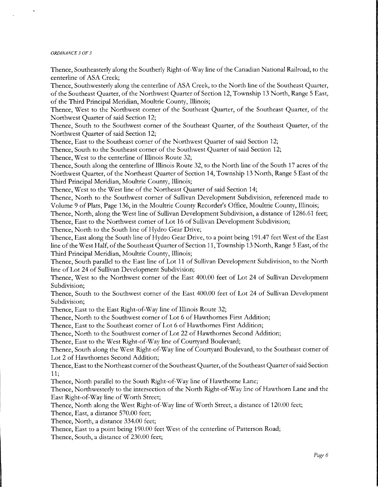Thence, Southeasterly along the Southerly Right-of-Way line ofthe Canadian National Railroad, to the centerline of ASA Creek;

Thence, Southwesterly along the centerline of ASA Creek, to the North line of the Southeast Quarter, of the Southeast Quarter, of the Northwest Quarter of Section 12, Township <sup>13</sup> North, Range <sup>5</sup> East, of the Third Principal Meridian, Moultrie County, Illinois;

Thence, West to the Northwest corner of the Southeast Quarter, of the Southeast Quarter, of the Northwest Quarter of said Section 12;

Thence, South to the Southwest corner of the Southeast Quarter, of the Southeast Quarter, of the Northwest Quarter of said Section 12;

Thence, East to the Southeast corner of the Northwest Quarter of said Section 12;

Thence, South to the Southeast corner of the Southwest Quarter of said Section 12;

Thence, West to the centerline of Illinois Route 32;

Thence, South along the centerline of Illinois Route 32, to the North line of the South <sup>17</sup> acres of the Northwest Quarter, of the Northeast Quarter of Section 14, Township <sup>13</sup> North, Range <sup>5</sup> East of the Third Principal Meridian, Moultrie County, Illinois;

Thence, West to the West line of the Northeast Quarter of said Section 14;

Thence, North to the Southwest corner of Sullivan Development Subdivision, referenced made to Volume 9 of Plats, Page 136, in the Moultrie County Recorder's Office, Moultrie County, Illinois;

Thence, North, along the West line of Sullivan Development Subdivision, a distance of 1286. <sup>61</sup> feet; Thence, East to the Northwest corner of Lot <sup>16</sup> of Sullivan Development Subdivision;

Thence, North to the South line of Hydro Gear Drive;

Thence, East along the South line of Hydro Gear Drive, to <sup>a</sup> point being 191. 47 feet West of the East line of the West Half, of the Southeast Quarter of Section 11, Township 13 North, Range 5 East, of the Third Principal Meridian, Moultrie County, Illinois,

Thence, South parallel to the East line of Lot <sup>11</sup> of Sullivan Development Subdivision, to the North line of Lot 24 of Sullivan Development Subdivision;

Thence, West to the Northwest corner of the East 400.00 feet of Lot 24 of Sullivan Development Subdivision;

Thence, South to the Southwest corner of the East 400.00 feet of Lot 24 of Sullivan Development Subdivision;

Thence, East to the East Right-of-Way line of Illinois Route 32;

Thence, North to the Southwest corner of Lot <sup>6</sup> of Hawthornes First Addition;

Thence, East to the Southeast corner of Lot <sup>6</sup> of Hawthornes First Addition;

Thence, North to the Southwest corner of Lot 22 of Hawthornes Second Addition;

Thence, East to the West Right-of-Way line of Courtyard Boulevard;

Thence, South along the West Right-of-Way line of Courtyard Boulevard, to the Southeast corner of Lot <sup>2</sup> of Hawthornes Second Addition;

Thence, East to the Northeast corner of the Southeast Quarter, of the Southeast Quarter of said Section 11;

Thence, North parallel to the South Right-of-Way line of Hawthorne Lane;

Thence, Northwesterly to the intersection of the North Right-of-Way line of Hawthorn Lane and the East Right-of-Way line of Worth Street;

Thence, North along the West Right-of-Way line of Worth Street, a distance of 120.00 feet;

Thence, East, a distance 570.00 feet;

Thence, North, a distance 334.00 feet;

Thence, East to <sup>a</sup> point being 190.00 feet West of the centerline of Patterson Road;

Thence, South, a distance of 230.00 feet;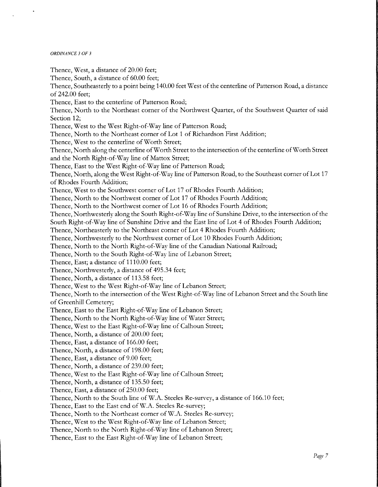Thence, West, a distance of 20.00 feet; Thence, South, a distance of 60.00 feet; Thence, Southeasterly to <sup>a</sup> point being 140.00 feet West of the centerline of Patterson Road, <sup>a</sup> distance of 242.00 feet; Thence, East to the centerline of Patterson Road; Thence, North to the Northeast corner of the Northwest Quarter, of the Southwest Quarter of said Section 12; Thence, West to the West Right-of-Way line of Patterson Road; Thence, North to the Northeast corner of Lot <sup>1</sup> of Richardson First Addition; Thence, West to the centerline of Worth Street; Thence, North along the centerline of Worth Street to the intersection of the centerline of Worth Street and the North Right-of-Way line of Mattox Street; Thence, East to the West Right-of-Way line of Patterson Road; Thence, North, along the West Right-of-Way line of Patterson Road, to the Southeast corner of Lot 17 of Rhodes Fourth Addition; Thence, West to the Southwest corner of Lot <sup>17</sup> of Rhodes Fourth Addition; Thence, North to the Northwest corner of Lot <sup>17</sup> of Rhodes Fourth Addition; Thence, North to the Northwest corner of Lot <sup>16</sup> of Rhodes Fourth Addition; Thence, Northwesterly along the South Right-of-Way line of Sunshine Drive, to the intersection of the South Right-of-Way line of Sunshine Drive and the East line of Lot <sup>4</sup> of Rhodes Fourth Addition; Thence, Northeasterly to the Northeast corner of Lot 4 Rhodes Fourth Addition; Thence, Northwesterly to the Northwest corner of Lot 10 Rhodes Fourth Addition; Thence, North to the North Right-of-Way line of the Canadian National Railroad; Thence, North to the South Right-of-Way line of Lebanon Street; Thence, East; a distance of 1110.00 feet; Thence, Northwesterly, a distance of 495.34 feet; Thence, North, <sup>a</sup> distance of 113.58 feet; Thence, West to the West Right-of-Way line of Lebanon Street; Thence, North to the intersection of the West Right-of-Way line of Lebanon Street and the South line of Greenhill Cemetery; Thence, East to the East Right-of-Way line of Lebanon Street; Thence, North to the North Right-of-Way line of Water Street; Thence, West to the East Right-of-Way line of Calhoun Street; Thence, North, a distance of 200.00 feet; Thence, East, a distance of 166.00 feet; Thence, North, a distance of 198.00 feet; Thence, East, a distance of 9.00 feet; Thence, North, a distance of 239.00 feet; Thence, West to the East Right-of-Way line of Calhoun Street; Thence, North, a distance of 135.50 feet; Thence, East, a distance of 250.00 feet; Thence, North to the South line of W.A. Steeles Re-survey, a distance of 166.10 feet; Thence, East to the East end of W.A. Steeles Re-survey; Thence, North to the Northeast corner of W.A. Steeles Re-survey; Thence, West to the West Right-of-Way line of Lebanon Street; Thence, North to the North Right-of-Way line of Lebanon Street; Thence, East to the East Right-of-Way line of Lebanon Street;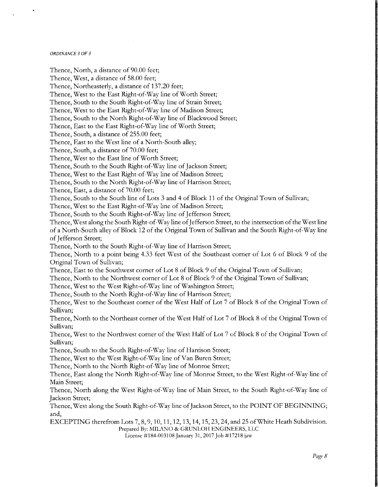Thence, North, a distance of 90.00 feet; Thence, West, a distance of 58.00 feet; Thence, Northeasterly, a distance of 137.20 feet; Thence, West to the East Right-of-Way line of Worth Street; Thence, South to the South Right-of-Way line of Strain Street; Thence, West to the East Right-of-Way line of Madison Street; Thence, South to the North Right-of-Way line of Blackwood Street; Thence, East to the East Right-of-Way line of Worth Street; Thence, South, a distance of 255. 00 feet; Thence, East to the West line of <sup>a</sup> North-South alley; Thence, South, a distance of 70.00 feet; Thence, West to the East line of Worth Street; Thence, South to the South Right-of-Way line of Jackson Street; Thence, West to the East Right-of-Way line of Madison Street; Thence, South to the North Right-of-Way line of Harrison Street; Thence, East, a distance of 70.00 feet; Thence, South to the South line of Lots <sup>3</sup> and 4 of Block <sup>11</sup> of the Original Town of Sullivan; Thence, West to the East Right-of-Way line of Madison Street; Thence, South to the South Right-of-Way line of Jefferson Street; Thence, West along the South Right-of-Way line of Jefferson Street, to the intersection of the West line of <sup>a</sup> North-South alley of Block <sup>12</sup> of the Original Town of Sullivan and the South Right-of-Way line of Jefferson Street; Thence, North to the South Right-of-Way line of Harrison Street; Thence, North to <sup>a</sup> point being 4.33 feet West of the Southeast corner of Lot <sup>6</sup> of Block <sup>9</sup> of the Original Town of Sullivan; Thence, East to the Southwest corner of Lot <sup>8</sup> of Block <sup>9</sup> of the Original Town of Sullivan; Thence, North to the Northwest corner of Lot <sup>8</sup> of Block <sup>9</sup> of the Original Town of Sullivan; Thence, West to the West Right-of-Way line of Washington Street; Thence, South to the North Right-of-Way line of Harrison Street; Thence, West to the Southeast corner of the West Half of Lot <sup>7</sup> of Block <sup>8</sup> of the Original Town of Sullivan; Thence, North to the Northeast corner of the West Half of Lot 7 of Block 8 of the Original Town of Sullivan; Thence, West to the Northwest corner of the West Half of Lot <sup>7</sup> of Block <sup>8</sup> of the Original Town of Sullivan; Thence, South to the South Right-of-Way line of Harrison Street; Thence, West to the West Right-of-Way line of Van Buren Street; Thence, North to the North Right-of-Way line of Monroe Street; Thence, East along the North Right-of-Way line of Monroe Street, to the West Right-of-Way line of Main Street; Thence, North along the West Right-of-Way line of Main Street, to the South Right-of-Way line of Jackson Street; Thence, West along the South Right-of-Way line of Jackson Street, to the POINT OF BEGINNING; and, EXCEPTING therefrom Lots 7, 8, 9, 10, 11, 12, 13, 14, 15, 23, 24, and 25 ofWhite Heath Subdivision. Prepared By: MILANO& GRUNLOH ENGINEERS, LLC License # 184-003108 January 31, 2017 Job # 17218 jaw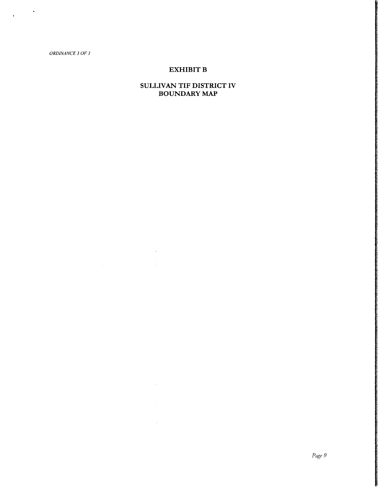$\frac{1}{\sqrt{2}}$  ,  $\frac{1}{\sqrt{2}}$  ,  $\frac{1}{\sqrt{2}}$ 

## EXHIBIT B

## SULLIVAN TIF DISTRICT IV BOUNDARY MAP

 $\mathcal{A}^{\mathcal{A}}$ 

 $\bar{t}$ 

z